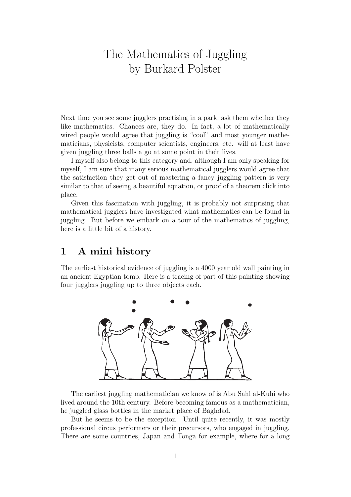# The Mathematics of Juggling by Burkard Polster

Next time you see some jugglers practising in a park, ask them whether they like mathematics. Chances are, they do. In fact, a lot of mathematically wired people would agree that juggling is "cool" and most younger mathematicians, physicists, computer scientists, engineers, etc. will at least have given juggling three balls a go at some point in their lives.

I myself also belong to this category and, although I am only speaking for myself, I am sure that many serious mathematical jugglers would agree that the satisfaction they get out of mastering a fancy juggling pattern is very similar to that of seeing a beautiful equation, or proof of a theorem click into place.

Given this fascination with juggling, it is probably not surprising that mathematical jugglers have investigated what mathematics can be found in juggling. But before we embark on a tour of the mathematics of juggling, here is a little bit of a history.

### 1 A mini history

The earliest historical evidence of juggling is a 4000 year old wall painting in an ancient Egyptian tomb. Here is a tracing of part of this painting showing four jugglers juggling up to three objects each.



The earliest juggling mathematician we know of is Abu Sahl al-Kuhi who lived around the 10th century. Before becoming famous as a mathematician, he juggled glass bottles in the market place of Baghdad.

But he seems to be the exception. Until quite recently, it was mostly professional circus performers or their precursors, who engaged in juggling. There are some countries, Japan and Tonga for example, where for a long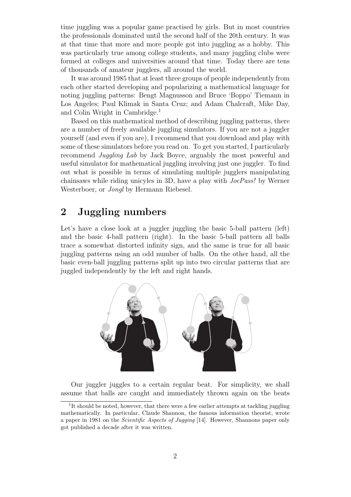time juggling was a popular game practised by girls. But in most countries the professionals dominated until the second half of the 20th century. It was at that time that more and more people got into juggling as a hobby. This was particularly true among college students, and many juggling clubs were formed at colleges and universities around that time. Today there are tens of thousands of amateur jugglers, all around the world.

It was around 1985 that at least three groups of people independently from each other started developing and popularizing a mathematical language for noting juggling patterns: Bengt Magnusson and Bruce 'Boppo' Tiemann in Los Angeles; Paul Klimak in Santa Cruz; and Adam Chalcraft, Mike Day, and Colin Wright in Cambridge.<sup>1</sup>

Based on this mathematical method of describing juggling patterns, there are a number of freely available juggling simulators. If you are not a juggler yourself (and even if you are), I recommend that you download and play with some of these simulators before you read on. To get you started, I particularly recommend Juggling Lab by Jack Boyce, arguably the most powerful and useful simulator for mathematical juggling involving just one juggler. To find out what is possible in terms of simulating multiple jugglers manipulating chainsaws while riding unicyles in 3D, have a play with JoePass! by Werner Westerboer, or Jongl by Hermann Riebesel.

## 2 Juggling numbers

Let's have a close look at a juggler juggling the basic 5-ball pattern (left) and the basic 4-ball pattern (right). In the basic 5-ball pattern all balls trace a somewhat distorted infinity sign, and the same is true for all basic juggling patterns using an odd number of balls. On the other hand, all the basic even-ball juggling patterns split up into two circular patterns that are juggled independently by the left and right hands.



Our juggler juggles to a certain regular beat. For simplicity, we shall assume that balls are caught and immediately thrown again on the beats

<sup>&</sup>lt;sup>1</sup>It should be noted, however, that there were a few earlier attempts at tackling juggling mathematically. In particular, Claude Shannon, the famous information theorist, wrote a paper in 1981 on the Scientific Aspects of Jugging [14]. However, Shannons paper only got published a decade after it was written.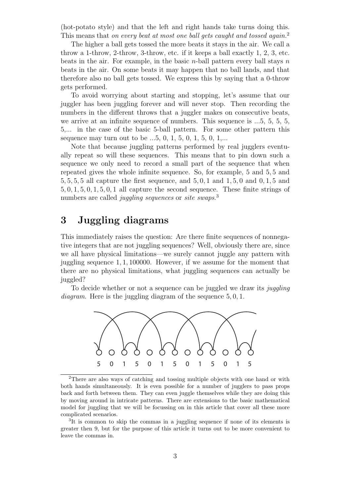(hot-potato style) and that the left and right hands take turns doing this. This means that on every beat at most one ball gets caught and tossed again.<sup>2</sup>

The higher a ball gets tossed the more beats it stays in the air. We call a throw a 1-throw, 2-throw, 3-throw, etc. if it keeps a ball exactly 1, 2, 3, etc. beats in the air. For example, in the basic *n*-ball pattern every ball stays  $n$ beats in the air. On some beats it may happen that no ball lands, and that therefore also no ball gets tossed. We express this by saying that a 0-throw gets performed.

To avoid worrying about starting and stopping, let's assume that our juggler has been juggling forever and will never stop. Then recording the numbers in the different throws that a juggler makes on consecutive beats, we arrive at an infinite sequence of numbers. This sequence is ...5, 5, 5, 5, 5,... in the case of the basic 5-ball pattern. For some other pattern this sequence may turn out to be  $...5, 0, 1, 5, 0, 1, 5, 0, 1,...$ 

Note that because juggling patterns performed by real jugglers eventually repeat so will these sequences. This means that to pin down such a sequence we only need to record a small part of the sequence that when repeated gives the whole infinite sequence. So, for example, 5 and 5, 5 and 5, 5, 5, 5 all capture the first sequence, and 5, 0, 1 and 1, 5, 0 and 0, 1, 5 and 5, 0, 1, 5, 0, 1, 5, 0, 1 all capture the second sequence. These finite strings of numbers are called *juggling sequences* or *site swaps*.<sup>3</sup>

## 3 Juggling diagrams

This immediately raises the question: Are there finite sequences of nonnegative integers that are not juggling sequences? Well, obviously there are, since we all have physical limitations—we surely cannot juggle any pattern with juggling sequence 1, 1, 100000. However, if we assume for the moment that there are no physical limitations, what juggling sequences can actually be juggled?

To decide whether or not a sequence can be juggled we draw its *juggling* diagram. Here is the juggling diagram of the sequence  $5, 0, 1$ .



<sup>2</sup>There are also ways of catching and tossing multiple objects with one hand or with both hands simultaneously. It is even possible for a number of jugglers to pass props back and forth between them. They can even juggle themselves while they are doing this by moving around in intricate patterns. There are extensions to the basic mathematical model for juggling that we will be focussing on in this article that cover all these more complicated scenarios.

<sup>&</sup>lt;sup>3</sup>It is common to skip the commas in a juggling sequence if none of its elements is greater then 9, but for the purpose of this article it turns out to be more convenient to leave the commas in.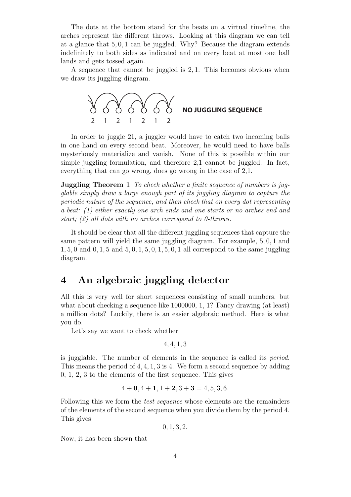The dots at the bottom stand for the beats on a virtual timeline, the arches represent the different throws. Looking at this diagram we can tell at a glance that 5, 0, 1 can be juggled. Why? Because the diagram extends indefinitely to both sides as indicated and on every beat at most one ball lands and gets tossed again.

A sequence that cannot be juggled is 2, 1. This becomes obvious when we draw its juggling diagram.



In order to juggle 21, a juggler would have to catch two incoming balls in one hand on every second beat. Moreover, he would need to have balls mysteriously materialize and vanish. None of this is possible within our simple juggling formulation, and therefore 2,1 cannot be juggled. In fact, everything that can go wrong, does go wrong in the case of 2,1.

**Juggling Theorem 1** To check whether a finite sequence of numbers is jugglable simply draw a large enough part of its juggling diagram to capture the periodic nature of the sequence, and then check that on every dot representing a beat: (1) either exactly one arch ends and one starts or no arches end and start; (2) all dots with no arches correspond to 0-throws.

It should be clear that all the different juggling sequences that capture the same pattern will yield the same juggling diagram. For example, 5, 0, 1 and 1, 5, 0 and 0, 1, 5 and 5, 0, 1, 5, 0, 1, 5, 0, 1 all correspond to the same juggling diagram.

## 4 An algebraic juggling detector

All this is very well for short sequences consisting of small numbers, but what about checking a sequence like 1000000, 1, 1? Fancy drawing (at least) a million dots? Luckily, there is an easier algebraic method. Here is what you do.

Let's say we want to check whether

4, 4, 1, 3

is jugglable. The number of elements in the sequence is called its period. This means the period of 4, 4, 1, 3 is 4. We form a second sequence by adding 0, 1, 2, 3 to the elements of the first sequence. This gives

$$
4 + 0, 4 + 1, 1 + 2, 3 + 3 = 4, 5, 3, 6.
$$

Following this we form the *test sequence* whose elements are the remainders of the elements of the second sequence when you divide them by the period 4. This gives

 $0, 1, 3, 2.$ 

Now, it has been shown that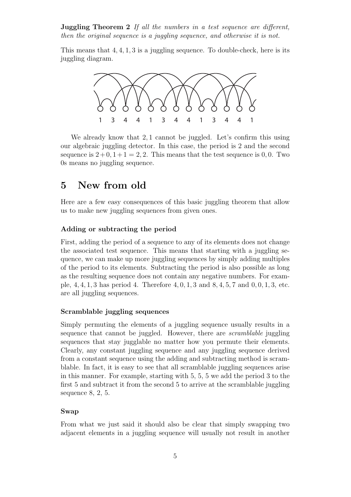**Juggling Theorem 2** If all the numbers in a test sequence are different, then the original sequence is a juggling sequence, and otherwise it is not.

This means that  $4, 4, 1, 3$  is a juggling sequence. To double-check, here is its juggling diagram.



We already know that 2,1 cannot be juggled. Let's confirm this using our algebraic juggling detector. In this case, the period is 2 and the second sequence is  $2+0, 1+1=2, 2$ . This means that the test sequence is 0,0. Two 0s means no juggling sequence.

## 5 New from old

Here are a few easy consequences of this basic juggling theorem that allow us to make new juggling sequences from given ones.

### Adding or subtracting the period

First, adding the period of a sequence to any of its elements does not change the associated test sequence. This means that starting with a juggling sequence, we can make up more juggling sequences by simply adding multiples of the period to its elements. Subtracting the period is also possible as long as the resulting sequence does not contain any negative numbers. For example, 4, 4, 1, 3 has period 4. Therefore 4, 0, 1, 3 and 8, 4, 5, 7 and 0, 0, 1, 3, etc. are all juggling sequences.

#### Scramblable juggling sequences

Simply permuting the elements of a juggling sequence usually results in a sequence that cannot be juggled. However, there are scramblable juggling sequences that stay jugglable no matter how you permute their elements. Clearly, any constant juggling sequence and any juggling sequence derived from a constant sequence using the adding and subtracting method is scramblable. In fact, it is easy to see that all scramblable juggling sequences arise in this manner. For example, starting with 5, 5, 5 we add the period 3 to the first 5 and subtract it from the second 5 to arrive at the scramblable juggling sequence 8, 2, 5.

#### Swap

From what we just said it should also be clear that simply swapping two adjacent elements in a juggling sequence will usually not result in another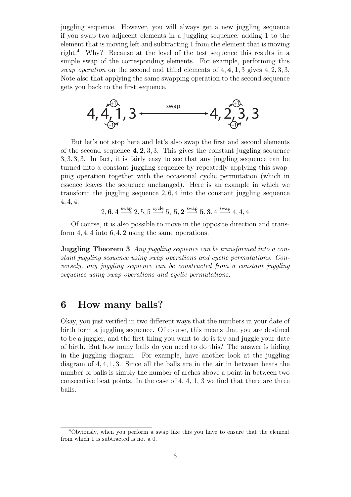juggling sequence. However, you will always get a new juggling sequence if you swap two adjacent elements in a juggling sequence, adding 1 to the element that is moving left and subtracting 1 from the element that is moving right.<sup>4</sup> Why? Because at the level of the test sequence this results in a simple swap of the corresponding elements. For example, performing this swap operation on the second and third elements of  $4, 4, 1, 3$  gives  $4, 2, 3, 3$ . Note also that applying the same swapping operation to the second sequence gets you back to the first sequence.



But let's not stop here and let's also swap the first and second elements of the second sequence  $4, 2, 3, 3$ . This gives the constant juggling sequence 3, 3, 3, 3. In fact, it is fairly easy to see that any juggling sequence can be turned into a constant juggling sequence by repeatedly applying this swapping operation together with the occasional cyclic permutation (which in essence leaves the sequence unchanged). Here is an example in which we transform the juggling sequence 2, 6, 4 into the constant juggling sequence 4, 4, 4:

$$
2, \mathbf{6}, \mathbf{4} \xrightarrow{\text{swap}} 2, 5, 5 \xrightarrow{\text{cycle}} 5, \mathbf{5}, \mathbf{2} \xrightarrow{\text{swap}} \mathbf{5}, \mathbf{3}, 4 \xrightarrow{\text{swap}} 4, 4, 4
$$

Of course, it is also possible to move in the opposite direction and transform 4, 4, 4 into 6, 4, 2 using the same operations.

**Juggling Theorem 3** Any juggling sequence can be transformed into a constant juggling sequence using swap operations and cyclic permutations. Conversely, any juggling sequence can be constructed from a constant juggling sequence using swap operations and cyclic permutations.

### 6 How many balls?

Okay, you just verified in two different ways that the numbers in your date of birth form a juggling sequence. Of course, this means that you are destined to be a juggler, and the first thing you want to do is try and juggle your date of birth. But how many balls do you need to do this? The answer is hiding in the juggling diagram. For example, have another look at the juggling diagram of 4, 4, 1, 3. Since all the balls are in the air in between beats the number of balls is simply the number of arches above a point in between two consecutive beat points. In the case of  $4, 4, 1, 3$  we find that there are three balls.

<sup>4</sup>Obviously, when you perform a swap like this you have to ensure that the element from which 1 is subtracted is not a 0.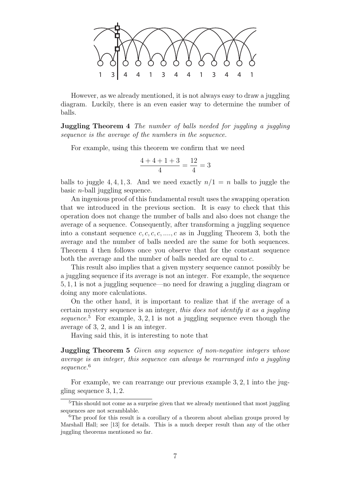

However, as we already mentioned, it is not always easy to draw a juggling diagram. Luckily, there is an even easier way to determine the number of balls.

**Juggling Theorem 4** The number of balls needed for juggling a juggling sequence is the average of the numbers in the sequence.

For example, using this theorem we confirm that we need

$$
\frac{4+4+1+3}{4} = \frac{12}{4} = 3
$$

balls to juggle 4, 4, 1, 3. And we need exactly  $n/1 = n$  balls to juggle the basic n-ball juggling sequence.

An ingenious proof of this fundamental result uses the swapping operation that we introduced in the previous section. It is easy to check that this operation does not change the number of balls and also does not change the average of a sequence. Consequently, after transforming a juggling sequence into a constant sequence  $c, c, c, c, ..., c$  as in Juggling Theorem 3, both the average and the number of balls needed are the same for both sequences. Theorem 4 then follows once you observe that for the constant sequence both the average and the number of balls needed are equal to c.

This result also implies that a given mystery sequence cannot possibly be a juggling sequence if its average is not an integer. For example, the sequence 5, 1, 1 is not a juggling sequence—no need for drawing a juggling diagram or doing any more calculations.

On the other hand, it is important to realize that if the average of a certain mystery sequence is an integer, this does not identify it as a juggling sequence.<sup>5</sup> For example, 3, 2, 1 is not a juggling sequence even though the average of 3, 2, and 1 is an integer.

Having said this, it is interesting to note that

**Juggling Theorem 5** Given any sequence of non-negative integers whose average is an integer, this sequence can always be rearranged into a juggling sequence.<sup>6</sup>

For example, we can rearrange our previous example 3, 2, 1 into the juggling sequence 3, 1, 2.

<sup>5</sup>This should not come as a surprise given that we already mentioned that most juggling sequences are not scramblable.

<sup>&</sup>lt;sup>6</sup>The proof for this result is a corollary of a theorem about abelian groups proved by Marshall Hall; see [13] for details. This is a much deeper result than any of the other juggling theorems mentioned so far.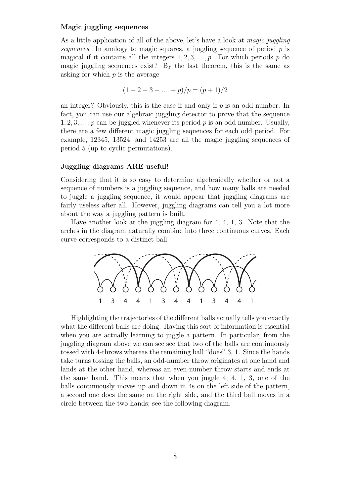#### Magic juggling sequences

As a little application of all of the above, let's have a look at *magic juggling* sequences. In analogy to magic squares, a juggling sequence of period  $p$  is magical if it contains all the integers  $1, 2, 3, \ldots, p$ . For which periods p do magic juggling sequences exist? By the last theorem, this is the same as asking for which  $p$  is the average

$$
(1+2+3+\ldots+p)/p = (p+1)/2
$$

an integer? Obviously, this is the case if and only if  $p$  is an odd number. In fact, you can use our algebraic juggling detector to prove that the sequence  $1, 2, 3, \ldots, p$  can be juggled whenever its period p is an odd number. Usually, there are a few different magic juggling sequences for each odd period. For example, 12345, 13524, and 14253 are all the magic juggling sequences of period 5 (up to cyclic permutations).

#### Juggling diagrams ARE useful!

Considering that it is so easy to determine algebraically whether or not a sequence of numbers is a juggling sequence, and how many balls are needed to juggle a juggling sequence, it would appear that juggling diagrams are fairly useless after all. However, juggling diagrams can tell you a lot more about the way a juggling pattern is built.

Have another look at the juggling diagram for 4, 4, 1, 3. Note that the arches in the diagram naturally combine into three continuous curves. Each curve corresponds to a distinct ball.



Highlighting the trajectories of the different balls actually tells you exactly what the different balls are doing. Having this sort of information is essential when you are actually learning to juggle a pattern. In particular, from the juggling diagram above we can see see that two of the balls are continuously tossed with 4-throws whereas the remaining ball "does" 3, 1. Since the hands take turns tossing the balls, an odd-number throw originates at one hand and lands at the other hand, whereas an even-number throw starts and ends at the same hand. This means that when you juggle 4, 4, 1, 3, one of the balls continuously moves up and down in 4s on the left side of the pattern, a second one does the same on the right side, and the third ball moves in a circle between the two hands; see the following diagram.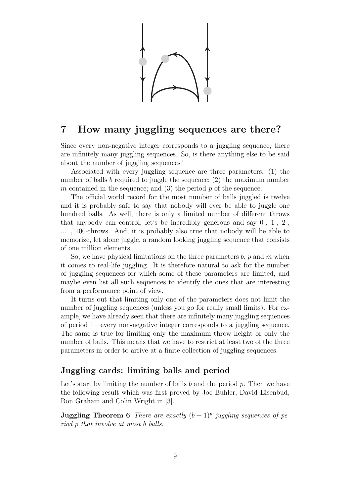### 7 How many juggling sequences are there?

Since every non-negative integer corresponds to a juggling sequence, there are infinitely many juggling sequences. So, is there anything else to be said about the number of juggling sequences?

Associated with every juggling sequence are three parameters: (1) the number of balls b required to juggle the sequence; (2) the maximum number m contained in the sequence; and  $(3)$  the period p of the sequence.

The official world record for the most number of balls juggled is twelve and it is probably safe to say that nobody will ever be able to juggle one hundred balls. As well, there is only a limited number of different throws that anybody can control, let's be incredibly generous and say 0-, 1-, 2-, ... , 100-throws. And, it is probably also true that nobody will be able to memorize, let alone juggle, a random looking juggling sequence that consists of one million elements.

So, we have physical limitations on the three parameters  $b$ ,  $p$  and  $m$  when it comes to real-life juggling. It is therefore natural to ask for the number of juggling sequences for which some of these parameters are limited, and maybe even list all such sequences to identify the ones that are interesting from a performance point of view.

It turns out that limiting only one of the parameters does not limit the number of juggling sequences (unless you go for really small limits). For example, we have already seen that there are infinitely many juggling sequences of period 1—every non-negative integer corresponds to a juggling sequence. The same is true for limiting only the maximum throw height or only the number of balls. This means that we have to restrict at least two of the three parameters in order to arrive at a finite collection of juggling sequences.

### Juggling cards: limiting balls and period

Let's start by limiting the number of balls  $b$  and the period  $p$ . Then we have the following result which was first proved by Joe Buhler, David Eisenbud, Ron Graham and Colin Wright in [3].

**Juggling Theorem 6** There are exactly  $(b+1)^p$  juggling sequences of period p that involve at most b balls.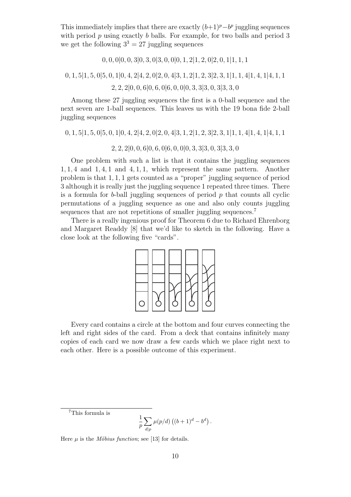This immediately implies that there are exactly  $(b+1)^p - b^p$  juggling sequences with period  $p$  using exactly  $b$  balls. For example, for two balls and period 3 we get the following  $3^3 = 27$  juggling sequences

$$
0, 0, 0|0, 0, 3|0, 3, 0|3, 0, 0|0, 1, 2|1, 2, 0|2, 0, 1|1, 1, 1
$$

0, 1, 5|1, 5, 0|5, 0, 1|0, 4, 2|4, 2, 0|2, 0, 4|3, 1, 2|1, 2, 3|2, 3, 1|1, 1, 4|1, 4, 1|4, 1, 1

2, 2, 2|0, 0, 6|0, 6, 0|6, 0, 0|0, 3, 3|3, 0, 3|3, 3, 0

Among these 27 juggling sequences the first is a 0-ball sequence and the next seven are 1-ball sequences. This leaves us with the 19 bona fide 2-ball juggling sequences

0, 1, 5|1, 5, 0|5, 0, 1|0, 4, 2|4, 2, 0|2, 0, 4|3, 1, 2|1, 2, 3|2, 3, 1|1, 1, 4|1, 4, 1|4, 1, 1

2, 2, 2|0, 0, 6|0, 6, 0|6, 0, 0|0, 3, 3|3, 0, 3|3, 3, 0

One problem with such a list is that it contains the juggling sequences 1, 1, 4 and 1, 4, 1 and 4, 1, 1, which represent the same pattern. Another problem is that 1, 1, 1 gets counted as a "proper" juggling sequence of period 3 although it is really just the juggling sequence 1 repeated three times. There is a formula for  $b$ -ball juggling sequences of period  $p$  that counts all cyclic permutations of a juggling sequence as one and also only counts juggling sequences that are not repetitions of smaller juggling sequences.<sup>7</sup>

There is a really ingenious proof for Theorem 6 due to Richard Ehrenborg and Margaret Readdy [8] that we'd like to sketch in the following. Have a close look at the following five "cards".



Every card contains a circle at the bottom and four curves connecting the left and right sides of the card. From a deck that contains infinitely many copies of each card we now draw a few cards which we place right next to each other. Here is a possible outcome of this experiment.

<sup>7</sup>This formula is

$$
\frac{1}{p}\sum_{d|p}\mu(p/d)\left((b+1)^d-b^d\right).
$$

Here  $\mu$  is the *Möbius function*; see [13] for details.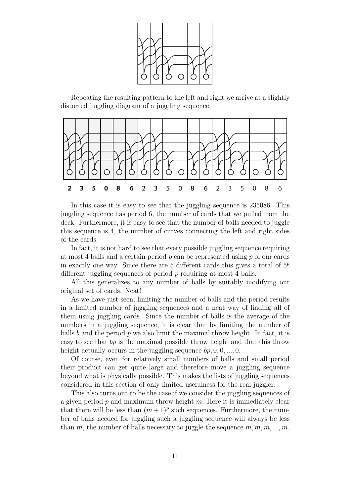

Repeating the resulting pattern to the left and right we arrive at a slightly distorted juggling diagram of a juggling sequence.



In this case it is easy to see that the juggling sequence is 235086. This juggling sequence has period 6, the number of cards that we pulled from the deck. Furthermore, it is easy to see that the number of balls needed to juggle this sequence is 4, the number of curves connecting the left and right sides of the cards.

In fact, it is not hard to see that every possible juggling sequence requiring at most 4 balls and a certain period  $p$  can be represented using  $p$  of our cards in exactly one way. Since there are 5 different cards this gives a total of  $5<sup>p</sup>$ different juggling sequences of period  $p$  requiring at most 4 balls.

All this generalizes to any number of balls by suitably modifying our original set of cards. Neat!

As we have just seen, limiting the number of balls and the period results in a limited number of juggling sequences and a neat way of finding all of them using juggling cards. Since the number of balls is the average of the numbers in a juggling sequence, it is clear that by limiting the number of balls b and the period p we also limit the maximal throw height. In fact, it is easy to see that bp is the maximal possible throw height and that this throw height actually occurs in the juggling sequence  $bp, 0, 0, \ldots, 0$ .

Of course, even for relatively small numbers of balls and small period their product can get quite large and therefore move a juggling sequence beyond what is physically possible. This makes the lists of juggling sequences considered in this section of only limited usefulness for the real juggler.

This also turns out to be the case if we consider the juggling sequences of a given period  $p$  and maximum throw height  $m$ . Here it is immediately clear that there will be less than  $(m+1)^p$  such sequences. Furthermore, the number of balls needed for juggling such a juggling sequence will always be less than m, the number of balls necessary to juggle the sequence  $m, m, m, ..., m$ .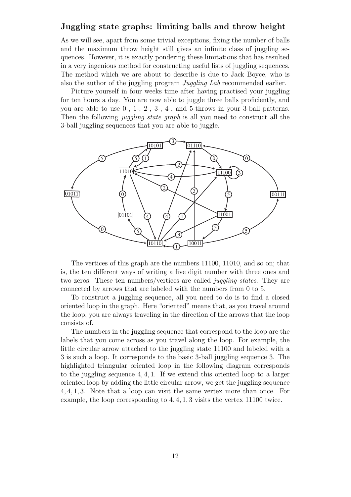### Juggling state graphs: limiting balls and throw height

As we will see, apart from some trivial exceptions, fixing the number of balls and the maximum throw height still gives an infinite class of juggling sequences. However, it is exactly pondering these limitations that has resulted in a very ingenious method for constructing useful lists of juggling sequences. The method which we are about to describe is due to Jack Boyce, who is also the author of the juggling program Juggling Lab recommended earlier.

Picture yourself in four weeks time after having practised your juggling for ten hours a day. You are now able to juggle three balls proficiently, and you are able to use 0-, 1-, 2-, 3-, 4-, and 5-throws in your 3-ball patterns. Then the following *juggling state graph* is all you need to construct all the 3-ball juggling sequences that you are able to juggle.



The vertices of this graph are the numbers 11100, 11010, and so on; that is, the ten different ways of writing a five digit number with three ones and two zeros. These ten numbers/vertices are called juggling states. They are connected by arrows that are labeled with the numbers from 0 to 5.

To construct a juggling sequence, all you need to do is to find a closed oriented loop in the graph. Here "oriented" means that, as you travel around the loop, you are always traveling in the direction of the arrows that the loop consists of.

The numbers in the juggling sequence that correspond to the loop are the labels that you come across as you travel along the loop. For example, the little circular arrow attached to the juggling state 11100 and labeled with a 3 is such a loop. It corresponds to the basic 3-ball juggling sequence 3. The highlighted triangular oriented loop in the following diagram corresponds to the juggling sequence  $4, 4, 1$ . If we extend this oriented loop to a larger oriented loop by adding the little circular arrow, we get the juggling sequence 4, 4, 1, 3. Note that a loop can visit the same vertex more than once. For example, the loop corresponding to 4, 4, 1, 3 visits the vertex 11100 twice.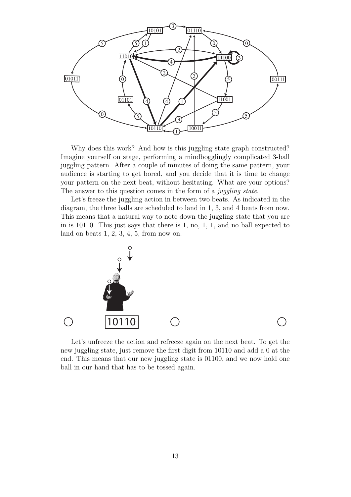

Why does this work? And how is this juggling state graph constructed? Imagine yourself on stage, performing a mindbogglingly complicated 3-ball juggling pattern. After a couple of minutes of doing the same pattern, your audience is starting to get bored, and you decide that it is time to change your pattern on the next beat, without hesitating. What are your options? The answer to this question comes in the form of a *juggling state*.

Let's freeze the juggling action in between two beats. As indicated in the diagram, the three balls are scheduled to land in 1, 3, and 4 beats from now. This means that a natural way to note down the juggling state that you are in is 10110. This just says that there is 1, no, 1, 1, and no ball expected to land on beats 1, 2, 3, 4, 5, from now on.



Let's unfreeze the action and refreeze again on the next beat. To get the new juggling state, just remove the first digit from 10110 and add a 0 at the end. This means that our new juggling state is 01100, and we now hold one ball in our hand that has to be tossed again.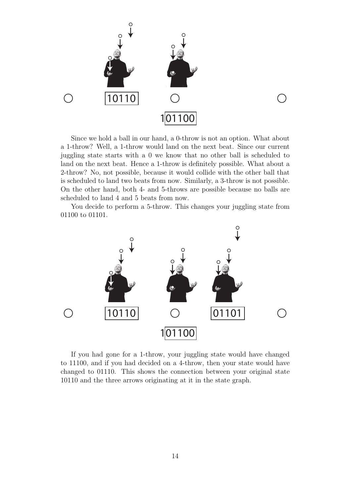

Since we hold a ball in our hand, a 0-throw is not an option. What about a 1-throw? Well, a 1-throw would land on the next beat. Since our current juggling state starts with a 0 we know that no other ball is scheduled to land on the next beat. Hence a 1-throw is definitely possible. What about a 2-throw? No, not possible, because it would collide with the other ball that is scheduled to land two beats from now. Similarly, a 3-throw is not possible. On the other hand, both 4- and 5-throws are possible because no balls are scheduled to land 4 and 5 beats from now.

You decide to perform a 5-throw. This changes your juggling state from 01100 to 01101.



If you had gone for a 1-throw, your juggling state would have changed to 11100, and if you had decided on a 4-throw, then your state would have changed to 01110. This shows the connection between your original state 10110 and the three arrows originating at it in the state graph.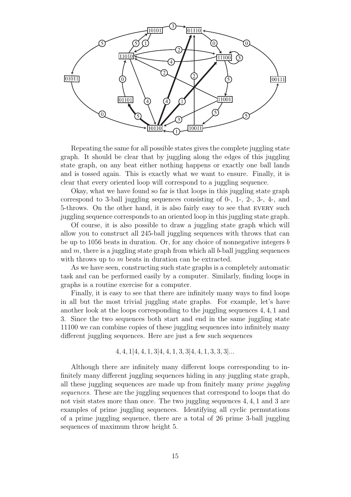

Repeating the same for all possible states gives the complete juggling state graph. It should be clear that by juggling along the edges of this juggling state graph, on any beat either nothing happens or exactly one ball lands and is tossed again. This is exactly what we want to ensure. Finally, it is clear that every oriented loop will correspond to a juggling sequence.

Okay, what we have found so far is that loops in this juggling state graph correspond to 3-ball juggling sequences consisting of 0-, 1-, 2-, 3-, 4-, and 5-throws. On the other hand, it is also fairly easy to see that every such juggling sequence corresponds to an oriented loop in this juggling state graph.

Of course, it is also possible to draw a juggling state graph which will allow you to construct all 245-ball juggling sequences with throws that can be up to 1056 beats in duration. Or, for any choice of nonnegative integers b and  $m$ , there is a juggling state graph from which all b-ball juggling sequences with throws up to m beats in duration can be extracted.

As we have seen, constructing such state graphs is a completely automatic task and can be performed easily by a computer. Similarly, finding loops in graphs is a routine exercise for a computer.

Finally, it is easy to see that there are infinitely many ways to find loops in all but the most trivial juggling state graphs. For example, let's have another look at the loops corresponding to the juggling sequences 4, 4, 1 and 3. Since the two sequences both start and end in the same juggling state 11100 we can combine copies of these juggling sequences into infinitely many different juggling sequences. Here are just a few such sequences

$$
4, 4, 1|4, 4, 1, 3|4, 4, 1, 3, 3|4, 4, 1, 3, 3, 3|...
$$

Although there are infinitely many different loops corresponding to infinitely many different juggling sequences hiding in any juggling state graph, all these juggling sequences are made up from finitely many prime juggling sequences. These are the juggling sequences that correspond to loops that do not visit states more than once. The two juggling sequences 4, 4, 1 and 3 are examples of prime juggling sequences. Identifying all cyclic permutations of a prime juggling sequence, there are a total of 26 prime 3-ball juggling sequences of maximum throw height 5.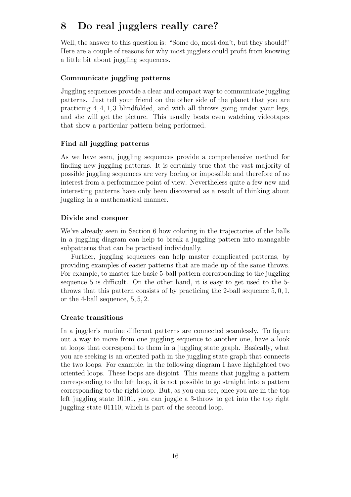## 8 Do real jugglers really care?

Well, the answer to this question is: "Some do, most don't, but they should!" Here are a couple of reasons for why most jugglers could profit from knowing a little bit about juggling sequences.

### Communicate juggling patterns

Juggling sequences provide a clear and compact way to communicate juggling patterns. Just tell your friend on the other side of the planet that you are practicing 4, 4, 1, 3 blindfolded, and with all throws going under your legs, and she will get the picture. This usually beats even watching videotapes that show a particular pattern being performed.

### Find all juggling patterns

As we have seen, juggling sequences provide a comprehensive method for finding new juggling patterns. It is certainly true that the vast majority of possible juggling sequences are very boring or impossible and therefore of no interest from a performance point of view. Nevertheless quite a few new and interesting patterns have only been discovered as a result of thinking about juggling in a mathematical manner.

### Divide and conquer

We've already seen in Section 6 how coloring in the trajectories of the balls in a juggling diagram can help to break a juggling pattern into managable subpatterns that can be practised individually.

Further, juggling sequences can help master complicated patterns, by providing examples of easier patterns that are made up of the same throws. For example, to master the basic 5-ball pattern corresponding to the juggling sequence 5 is difficult. On the other hand, it is easy to get used to the 5 throws that this pattern consists of by practicing the 2-ball sequence  $5, 0, 1$ , or the 4-ball sequence, 5, 5, 2.

### Create transitions

In a juggler's routine different patterns are connected seamlessly. To figure out a way to move from one juggling sequence to another one, have a look at loops that correspond to them in a juggling state graph. Basically, what you are seeking is an oriented path in the juggling state graph that connects the two loops. For example, in the following diagram I have highlighted two oriented loops. These loops are disjoint. This means that juggling a pattern corresponding to the left loop, it is not possible to go straight into a pattern corresponding to the right loop. But, as you can see, once you are in the top left juggling state 10101, you can juggle a 3-throw to get into the top right juggling state 01110, which is part of the second loop.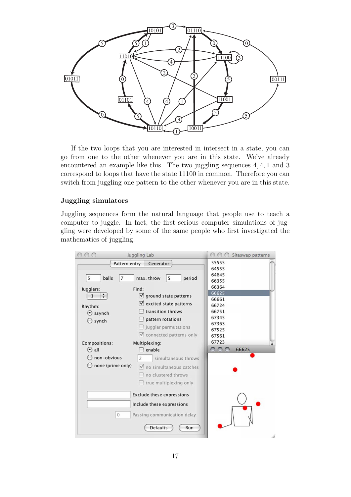

If the two loops that you are interested in intersect in a state, you can go from one to the other whenever you are in this state. We've already encountered an example like this. The two juggling sequences 4, 4, 1 and 3 correspond to loops that have the state 11100 in common. Therefore you can switch from juggling one pattern to the other whenever you are in this state.

### Juggling simulators

Juggling sequences form the natural language that people use to teach a computer to juggle. In fact, the first serious computer simulations of juggling were developed by some of the same people who first investigated the mathematics of juggling.

|                                                           | Juggling Lab                                | Siteswap patterns |
|-----------------------------------------------------------|---------------------------------------------|-------------------|
| Pattern entry<br>Generator                                |                                             | 55555             |
|                                                           |                                             | 64555             |
| $\overline{7}$<br>5<br>balls<br>max. throw<br>5<br>period |                                             | 64645             |
|                                                           |                                             | 66355             |
| Jugglers:                                                 | Find:                                       | 66364<br>66625    |
| $\frac{1}{\mathbf{v}}$<br>1                               | ground state patterns                       | 66661             |
| Rhythm:                                                   | $\blacktriangledown$ excited state patterns | 66724             |
| $\odot$ asynch                                            | transition throws                           | 66751             |
|                                                           | pattern rotations                           | 67345             |
| synch                                                     | juggler permutations                        | 67363             |
|                                                           |                                             | 67525             |
|                                                           | ■ connected patterns only                   | 67561             |
| Compositions:                                             | Multiplexing:                               | 67723             |
| $\odot$ all                                               | enable                                      | nnn<br>66625      |
| non-obvious                                               | simultaneous throws<br>$\overline{2}$       |                   |
| none (prime only)                                         | $\nabla$ no simultaneous catches            |                   |
|                                                           | no clustered throws                         |                   |
|                                                           | true multiplexing only                      |                   |
|                                                           | <b>Exclude these expressions</b>            |                   |
|                                                           |                                             |                   |
|                                                           | Include these expressions                   |                   |
| $\mathbf 0$                                               | Passing communication delay                 |                   |
|                                                           | <b>Defaults</b><br>Run                      |                   |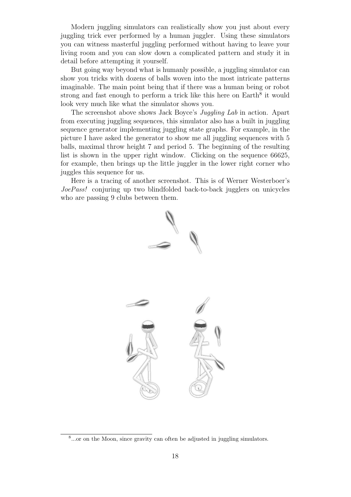Modern juggling simulators can realistically show you just about every juggling trick ever performed by a human juggler. Using these simulators you can witness masterful juggling performed without having to leave your living room and you can slow down a complicated pattern and study it in detail before attempting it yourself.

But going way beyond what is humanly possible, a juggling simulator can show you tricks with dozens of balls woven into the most intricate patterns imaginable. The main point being that if there was a human being or robot strong and fast enough to perform a trick like this here on  $Earth<sup>8</sup>$  it would look very much like what the simulator shows you.

The screenshot above shows Jack Boyce's Juggling Lab in action. Apart from executing juggling sequences, this simulator also has a built in juggling sequence generator implementing juggling state graphs. For example, in the picture I have asked the generator to show me all juggling sequences with 5 balls, maximal throw height 7 and period 5. The beginning of the resulting list is shown in the upper right window. Clicking on the sequence 66625, for example, then brings up the little juggler in the lower right corner who juggles this sequence for us.

Here is a tracing of another screenshot. This is of Werner Westerboer's JoePass! conjuring up two blindfolded back-to-back jugglers on unicycles who are passing 9 clubs between them.



<sup>&</sup>lt;sup>8</sup>...or on the Moon, since gravity can often be adjusted in juggling simulators.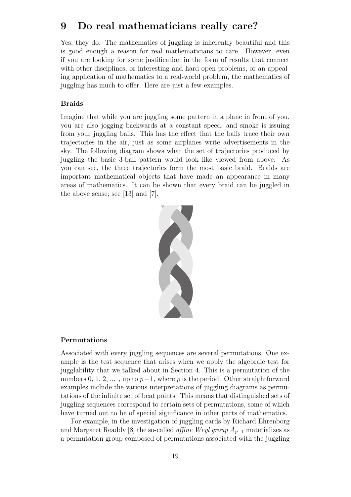## 9 Do real mathematicians really care?

Yes, they do. The mathematics of juggling is inherently beautiful and this is good enough a reason for real mathematicians to care. However, even if you are looking for some justification in the form of results that connect with other disciplines, or interesting and hard open problems, or an appealing application of mathematics to a real-world problem, the mathematics of juggling has much to offer. Here are just a few examples.

### Braids

Imagine that while you are juggling some pattern in a plane in front of you, you are also jogging backwards at a constant speed, and smoke is issuing from your juggling balls. This has the effect that the balls trace their own trajectories in the air, just as some airplanes write advertisements in the sky. The following diagram shows what the set of trajectories produced by juggling the basic 3-ball pattern would look like viewed from above. As you can see, the three trajectories form the most basic braid. Braids are important mathematical objects that have made an appearance in many areas of mathematics. It can be shown that every braid can be juggled in the above sense; see [13] and [7].



#### Permutations

Associated with every juggling sequences are several permutations. One example is the test sequence that arises when we apply the algebraic test for jugglability that we talked about in Section 4. This is a permutation of the numbers 0, 1, 2, ..., up to  $p-1$ , where p is the period. Other straightforward examples include the various interpretations of juggling diagrams as permutations of the infinite set of beat points. This means that distinguished sets of juggling sequences correspond to certain sets of permutations, some of which have turned out to be of special significance in other parts of mathematics.

For example, in the investigation of juggling cards by Richard Ehrenborg and Margaret Readdy [8] the so-called *affine Weyl group*  $\tilde{A}_{p-1}$  materializes as a permutation group composed of permutations associated with the juggling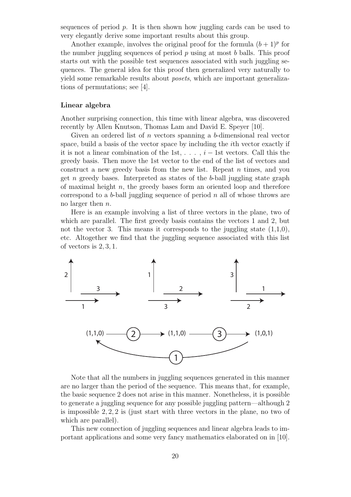sequences of period  $p$ . It is then shown how juggling cards can be used to very elegantly derive some important results about this group.

Another example, involves the original proof for the formula  $(b+1)^p$  for the number juggling sequences of period  $p$  using at most  $b$  balls. This proof starts out with the possible test sequences associated with such juggling sequences. The general idea for this proof then generalized very naturally to yield some remarkable results about posets, which are important generalizations of permutations; see [4].

#### Linear algebra

Another surprising connection, this time with linear algebra, was discovered recently by Allen Knutson, Thomas Lam and David E. Speyer [10].

Given an ordered list of  $n$  vectors spanning a  $b$ -dimensional real vector space, build a basis of the vector space by including the ith vector exactly if it is not a linear combination of the 1st,  $\dots$ ,  $i-1$ st vectors. Call this the greedy basis. Then move the 1st vector to the end of the list of vectors and construct a new greedy basis from the new list. Repeat  $n$  times, and you get n greedy bases. Interpreted as states of the  $b$ -ball juggling state graph of maximal height n, the greedy bases form an oriented loop and therefore correspond to a  $b$ -ball juggling sequence of period n all of whose throws are no larger then n.

Here is an example involving a list of three vectors in the plane, two of which are parallel. The first greedy basis contains the vectors 1 and 2, but not the vector 3. This means it corresponds to the juggling state  $(1,1,0)$ , etc. Altogether we find that the juggling sequence associated with this list of vectors is 2, 3, 1.



Note that all the numbers in juggling sequences generated in this manner are no larger than the period of the sequence. This means that, for example, the basic sequence 2 does not arise in this manner. Nonetheless, it is possible to generate a juggling sequence for any possible juggling pattern—although 2 is impossible  $2, 2, 2$  is (just start with three vectors in the plane, no two of which are parallel).

This new connection of juggling sequences and linear algebra leads to important applications and some very fancy mathematics elaborated on in [10].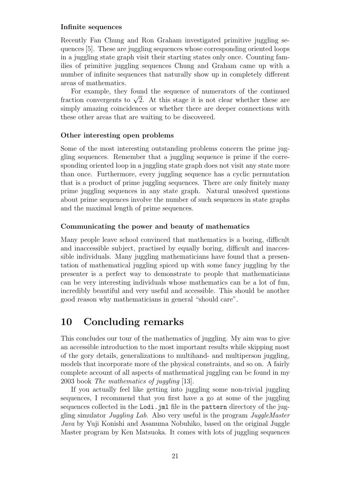### Infinite sequences

Recently Fan Chung and Ron Graham investigated primitive juggling sequences [5]. These are juggling sequences whose corresponding oriented loops in a juggling state graph visit their starting states only once. Counting families of primitive juggling sequences Chung and Graham came up with a number of infinite sequences that naturally show up in completely different areas of mathematics.

For example, they found the sequence of numerators of the continued For example, they found the sequence of numerators of the continued<br>fraction convergents to  $\sqrt{2}$ . At this stage it is not clear whether these are simply amazing coincidences or whether there are deeper connections with these other areas that are waiting to be discovered.

#### Other interesting open problems

Some of the most interesting outstanding problems concern the prime juggling sequences. Remember that a juggling sequence is prime if the corresponding oriented loop in a juggling state graph does not visit any state more than once. Furthermore, every juggling sequence has a cyclic permutation that is a product of prime juggling sequences. There are only finitely many prime juggling sequences in any state graph. Natural unsolved questions about prime sequences involve the number of such sequences in state graphs and the maximal length of prime sequences.

#### Communicating the power and beauty of mathematics

Many people leave school convinced that mathematics is a boring, difficult and inaccessible subject, practised by equally boring, difficult and inaccessible individuals. Many juggling mathematicians have found that a presentation of mathematical juggling spiced up with some fancy juggling by the presenter is a perfect way to demonstrate to people that mathematicians can be very interesting individuals whose mathematics can be a lot of fun, incredibly beautiful and very useful and accessible. This should be another good reason why mathematicians in general "should care".

## 10 Concluding remarks

This concludes our tour of the mathematics of juggling. My aim was to give an accessible introduction to the most important results while skipping most of the gory details, generalizations to multihand- and multiperson juggling, models that incorporate more of the physical constraints, and so on. A fairly complete account of all aspects of mathematical juggling can be found in my 2003 book The mathematics of juggling [13].

If you actually feel like getting into juggling some non-trivial juggling sequences, I recommend that you first have a go at some of the juggling sequences collected in the Lodi.jml file in the pattern directory of the juggling simulator Juggling Lab. Also very useful is the program JuggleMaster Java by Yuji Konishi and Asanuma Nobuhiko, based on the original Juggle Master program by Ken Matsuoka. It comes with lots of juggling sequences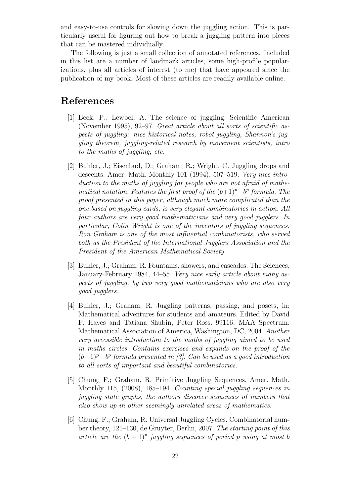and easy-to-use controls for slowing down the juggling action. This is particularly useful for figuring out how to break a juggling pattern into pieces that can be mastered individually.

The following is just a small collection of annotated references. Included in this list are a number of landmark articles, some high-profile popularizations, plus all articles of interest (to me) that have appeared since the publication of my book. Most of these articles are readily available online.

## References

- [1] Beek, P.; Lewbel, A. The science of juggling. Scientific American (November 1995), 92–97. Great article about all sorts of scientific aspects of juggling: nice historical notes, robot juggling, Shannon's juggling theorem, juggling-related research by movement scientists, intro to the maths of juggling, etc.
- [2] Buhler, J.; Eisenbud, D.; Graham, R.; Wright, C. Juggling drops and descents. Amer. Math. Monthly 101 (1994), 507–519. Very nice introduction to the maths of juggling for people who are not afraid of mathematical notation. Features the first proof of the  $(b+1)^p - b^p$  formula. The proof presented in this paper, although much more complicated than the one based on juggling cards, is very elegant combinatorics in action. All four authors are very good mathematicians and very good jugglers. In particular, Colin Wright is one of the inventors of juggling sequences. Ron Graham is one of the most influential combinatorists, who served both as the President of the International Jugglers Association and the President of the American Mathematical Society.
- [3] Buhler, J.; Graham, R. Fountains, showers, and cascades. The Sciences, January-February 1984, 44–55. Very nice early article about many aspects of juggling, by two very good mathematicians who are also very good jugglers.
- [4] Buhler, J.; Graham, R. Juggling patterns, passing, and posets, in: Mathematical adventures for students and amateurs. Edited by David F. Hayes and Tatiana Shubin, Peter Ross. 99116, MAA Spectrum. Mathematical Association of America, Washington, DC, 2004. Another very accessible introduction to the maths of juggling aimed to be used in maths circles. Contains exercises and expands on the proof of the  $(b+1)^p - b^p$  formula presented in [3]. Can be used as a good introduction to all sorts of important and beautiful combinatorics.
- [5] Chung, F.; Graham, R. Primitive Juggling Sequences. Amer. Math. Monthly 115, (2008), 185–194. Counting special juggling sequences in juggling state graphs, the authors discover sequences of numbers that also show up in other seemingly unrelated areas of mathematics.
- [6] Chung, F.; Graham, R. Universal Juggling Cycles. Combinatorial number theory, 121–130, de Gruyter, Berlin, 2007. The starting point of this article are the  $(b+1)^p$  juggling sequences of period p using at most b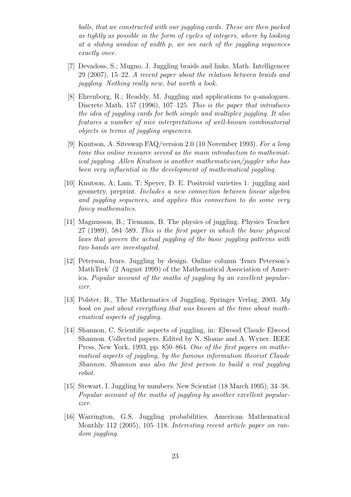balls, that we constructed with our juggling cards. These are then packed as tightly as possible in the form of cycles of integers, where by looking at a sliding window of width p, we see each of the juggling sequences exactly once.

- [7] Devadoss, S.; Mugno, J. Juggling braids and links. Math. Intelligencer 29 (2007), 15–22. A recent paper about the relation between braids and juggling. Nothing really new, but worth a look.
- [8] Ehrenborg, R.; Readdy, M. Juggling and applications to q-analogues. Discrete Math. 157 (1996), 107–125. This is the paper that introduces the idea of juggling cards for both simple and multiplex juggling. It also features a number of nice interpretations of well-known combinatorial objects in terms of juggling sequences.
- [9] Knutson, A. Siteswap FAQ/version 2.0 (10 November 1993). For a long time this online resource served as the main introduction to mathematical juggling. Allen Knutson is another mathematician/juggler who has been very influential in the development of mathematical juggling.
- [10] Knutson, A; Lam, T; Speyer, D. E. Positroid varieties 1: juggling and geometry, preprint. Includes a new connection between linear algebra and juggling sequences, and applies this connection to do some very fancy mathematics.
- [11] Magnusson, B.; Tiemann, B. The physics of juggling. Physics Teacher 27 (1989), 584–589. This is the first paper in which the basic physical laws that govern the actual juggling of the basic juggling patterns with two hands are investigated.
- [12] Peterson, Ivars. Juggling by design. Online column 'Ivars Peterson's MathTrek' (2 August 1999) of the Mathematical Association of America. Popular account of the maths of juggling by an excellent popularizer.
- [13] Polster, B., The Mathematics of Juggling, Springer Verlag, 2003. My book on just about everything that was known at the time about mathematical aspects of juggling.
- [14] Shannon, C. Scientific aspects of juggling, in: Elwood Claude Elwood Shannon. Collected papers. Edited by N. Sloane and A. Wyner. IEEE Press, New York, 1993, pp. 850–864. One of the first papers on mathematical aspects of juggling, by the famous information theorist Claude Shannon. Shannon was also the first person to build a real juggling robot.
- [15] Stewart, I. Juggling by numbers. New Scientist (18 March 1995), 34–38. Popular account of the maths of juggling by another excellent popularizer.
- [16] Warrington, G.S. Juggling probabilities. American Mathematical Monthly 112 (2005), 105–118. Interesting recent article paper on random juggling.